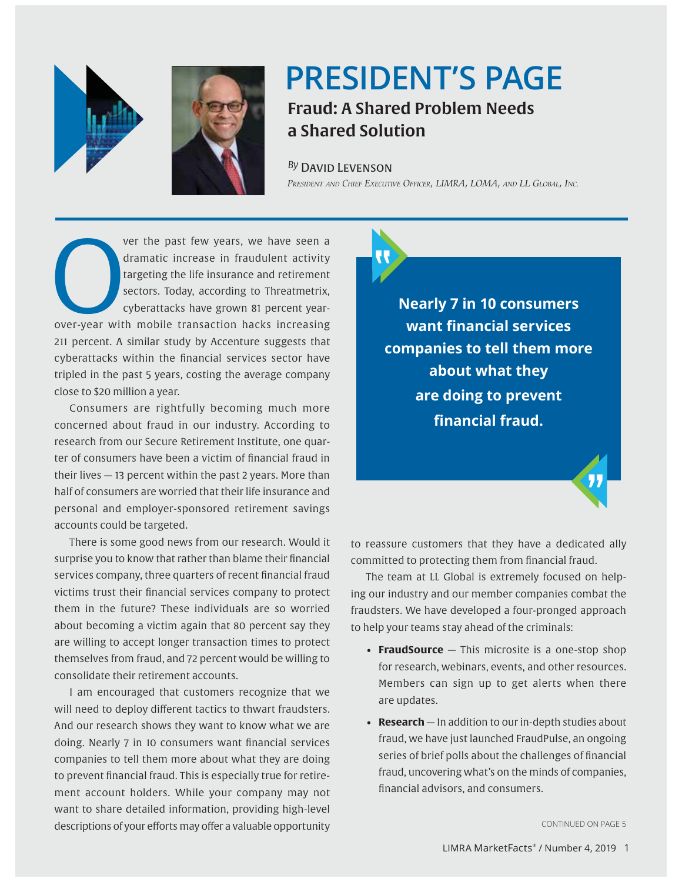



## **PRESIDENT'S PAGE PRESIDENT'S PAGE** Fraud: A Shared Problem Needs a Shared Solution

**David Levenson** *By* David Levenson

*President and Chief Executive Officer, LIMRA, LOMA, and LL Global PRESIDENT AND CHIEF EXECUTIVE OFFICER, LIMRA, LOMA, AND LL GLOBAL, INC.* "

ver the past few years, we have seen a dramatic increase in fraudulent activity targeting the life insurance and retirement sectors. Today, according to Threatmetrix, cyberattacks have grown 81 percent yearver the past few years, we have seen a<br>dramatic increase in fraudulent activity<br>targeting the life insurance and retirement<br>sectors. Today, according to Threatmetrix,<br>cyberattacks have grown 81 percent year-<br>over-year with 211 percent. A similar study by Accenture suggests that cyberattacks within the financial services sector have tripled in the past 5 years, costing the average company close to \$20 million a year.

Consumers are rightfully becoming much more concerned about fraud in our industry. According to research from our Secure Retirement Institute, one quarter of consumers have been a victim of financial fraud in their lives — 13 percent within the past 2 years. More than half of consumers are worried that their life insurance and personal and employer-sponsored retirement savings accounts could be targeted.

There is some good news from our research. Would it surprise you to know that rather than blame their financial services company, three quarters of recent financial fraud victims trust their financial services company to protect them in the future? These individuals are so worried about becoming a victim again that 80 percent say they are willing to accept longer transaction times to protect themselves from fraud, and 72 percent would be willing to consolidate their retirement accounts.

I am encouraged that customers recognize that we will need to deploy different tactics to thwart fraudsters. And our research shows they want to know what we are doing. Nearly 7 in 10 consumers want financial services companies to tell them more about what they are doing to prevent financial fraud. This is especially true for retirement account holders. While your company may not want to share detailed information, providing high-level descriptions of your efforts may offer a valuable opportunity



**Nearly 7 in 10 consumers Want financial services companies to tell them more about what they**  are doing to prevent financial fraud.

to reassure customers that they have a dedicated ally committed to protecting them from financial fraud.

The team at LL Global is extremely focused on helping our industry and our member companies combat the fraudsters. We have developed a four-pronged approach to help your teams stay ahead of the criminals:

- **FraudSource** This microsite is a one-stop shop for research, webinars, events, and other resources. Members can sign up to get alerts when there are updates.
- **Research**  In addition to our in-depth studies about fraud, we have just launched FraudPulse, an ongoing series of brief polls about the challenges of financial fraud, uncovering what's on the minds of companies, financial advisors, and consumers.

CONTINUED ON PAGE 5

"<br>"